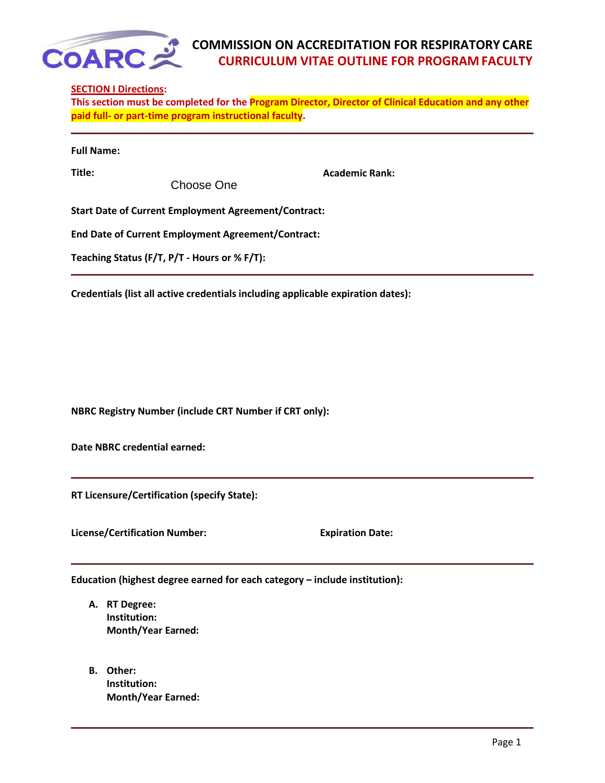

## **COMMISSION ON ACCREDITATION FOR RESPIRATORY CARE CURRICULUM VITAE OUTLINE FOR PROGRAM FACULTY**

## **SECTION I Directions:**

**This section must be completed for the Program Director, Director of Clinical Education and any other paid full‐ or part‐time program instructional faculty.**

|  | <b>Full Name:</b> |
|--|-------------------|
|--|-------------------|

Choose One

**Title: Academic Rank:**

**Start Date of Current Employment Agreement/Contract:** 

**End Date of Current Employment Agreement/Contract:** 

**Teaching Status (F/T, P/T ‐ Hours or % F/T):**

**Credentials (list all active credentials including applicable expiration dates):**

**NBRC Registry Number (include CRT Number if CRT only):** 

**Date NBRC credential earned:**

**RT Licensure/Certification (specify State):**

**License/Certification Number: Expiration Date:**

**Education (highest degree earned for each category – include institution):**

- **A. RT Degree: Institution: Month/Year Earned:**
- **B. Other: Institution: Month/Year Earned:**